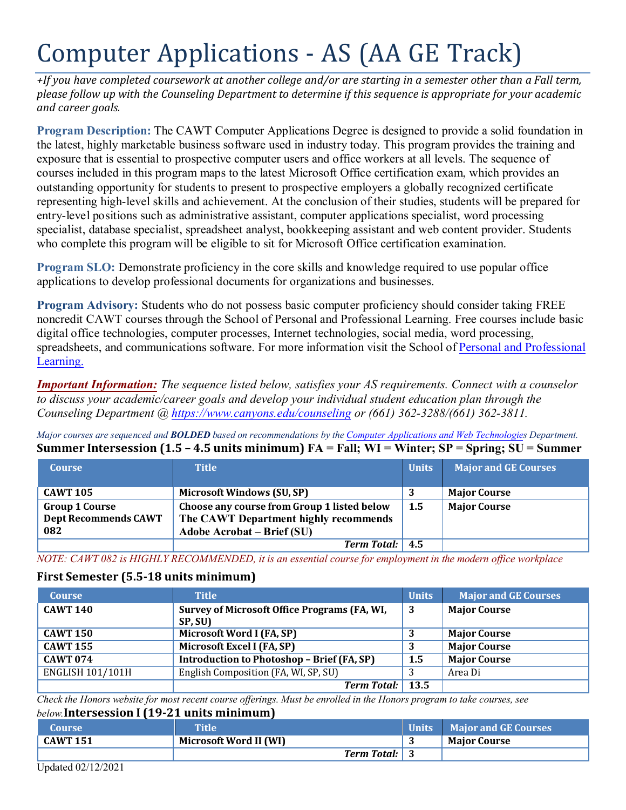# Computer Applications - AS (AA GE Track)

 *please follow up with the Counseling Department to determine if this sequence is appropriate for your academic and career goals. +If you have completed coursework at another college and/or are starting in a semester other than a Fall term,* 

 exposure that is essential to prospective computer users and office workers at all levels. The sequence of entry-level positions such as administrative assistant, computer applications specialist, word processing **Program Description:** The CAWT Computer Applications Degree is designed to provide a solid foundation in the latest, highly marketable business software used in industry today. This program provides the training and courses included in this program maps to the latest Microsoft Office certification exam, which provides an outstanding opportunity for students to present to prospective employers a globally recognized certificate representing high-level skills and achievement. At the conclusion of their studies, students will be prepared for specialist, database specialist, spreadsheet analyst, bookkeeping assistant and web content provider. Students who complete this program will be eligible to sit for Microsoft Office certification examination.

**Program SLO:** Demonstrate proficiency in the core skills and knowledge required to use popular office applications to develop professional documents for organizations and businesses.

**Program Advisory:** Students who do not possess basic computer proficiency should consider taking FREE noncredit CAWT courses through the School of Personal and Professional Learning. Free courses include basic digital office technologies, computer processes, Internet technologies, social media, word processing, spreadsheets, and communications software. For more information visit the School of [Personal and Professional](https://www.canyons.edu/academics/schools/ppl/)  [Learning.](https://www.canyons.edu/academics/schools/ppl/) 

*Important Information: The sequence listed below, satisfies your AS requirements. Connect with a counselor to discuss your academic/career goals and develop your individual student education plan through the Counseling Department @ <https://www.canyons.edu/counseling>or (661) 362-3288/(661) 362-3811.* 

*Major courses are sequenced and BOLDED based on recommendations by the [Computer Applications and Web Technologies](https://www.canyons.edu/academics/computerapplications/index.php) Department.*  **Summer Intersession (1.5 – 4.5 units minimum) FA = Fall; WI = Winter; SP = Spring; SU = Summer** 

| <b>Course</b>               | <b>Title</b>                                | <b>Units</b> | <b>Major and GE Courses</b> |
|-----------------------------|---------------------------------------------|--------------|-----------------------------|
|                             |                                             |              |                             |
| <b>CAWT 105</b>             | <b>Microsoft Windows (SU, SP)</b>           |              | <b>Major Course</b>         |
| <b>Group 1 Course</b>       | Choose any course from Group 1 listed below | 1.5          | <b>Major Course</b>         |
| <b>Dept Recommends CAWT</b> | The CAWT Department highly recommends       |              |                             |
| 082                         | <b>Adobe Acrobat – Brief (SU)</b>           |              |                             |
|                             | <b>Term Total:</b>                          | 4.5          |                             |

*NOTE: CAWT 082 is HIGHLY RECOMMENDED, it is an essential course for employment in the modern office workplace* 

### **First Semester (5.5-18 units minimum)**

| <b>Course</b>           | <b>Title</b>                                            | <b>Units</b>     | <b>Major and GE Courses</b> |
|-------------------------|---------------------------------------------------------|------------------|-----------------------------|
| <b>CAWT 140</b>         | Survey of Microsoft Office Programs (FA, WI,<br>SP, SU) | 3                | <b>Major Course</b>         |
| <b>CAWT 150</b>         | Microsoft Word I (FA, SP)                               |                  | <b>Major Course</b>         |
| <b>CAWT 155</b>         | Microsoft Excel I (FA, SP)                              |                  | <b>Major Course</b>         |
| <b>CAWT 074</b>         | <b>Introduction to Photoshop - Brief (FA, SP)</b>       | $1.5\phantom{0}$ | <b>Major Course</b>         |
| <b>ENGLISH 101/101H</b> | English Composition (FA, WI, SP, SU)                    |                  | Area Di                     |
|                         | Term Total: 13.5                                        |                  |                             |

 *Check the Honors website for most recent course offerings. Must be enrolled in the Honors program to take courses, see below.***Intersession I (19-21 units minimum)** 

| <b>Course</b>   | <b>Title</b>           | Units | <b>Major and GE Courses</b> |
|-----------------|------------------------|-------|-----------------------------|
| <b>CAWT 151</b> | Microsoft Word II (WI) |       | <b>Maior Course</b>         |
|                 | <b>Term Total:</b> 3   |       |                             |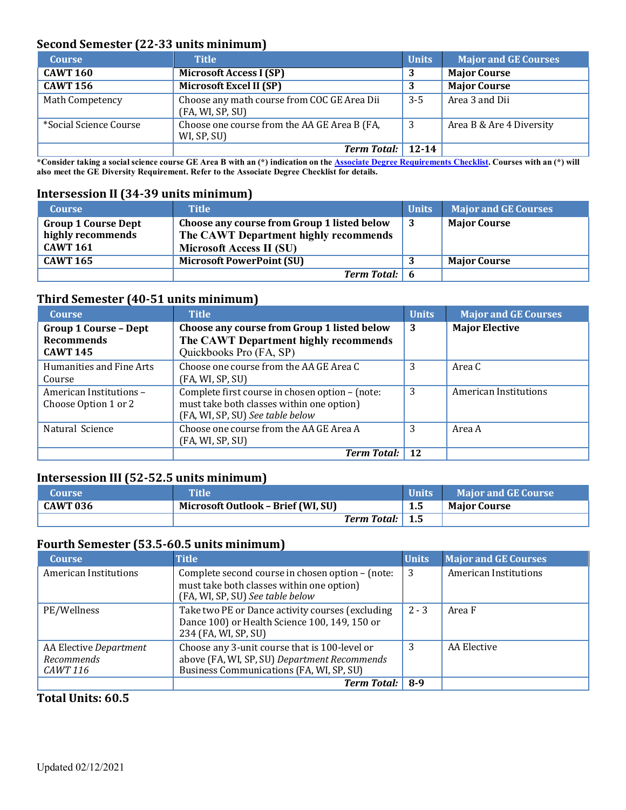## **Second Semester (22-33 units minimum)**

| <b>Course</b>          | <b>Title</b>                                                    | <b>Units</b> | <b>Major and GE Courses</b> |
|------------------------|-----------------------------------------------------------------|--------------|-----------------------------|
| <b>CAWT 160</b>        | <b>Microsoft Access I (SP)</b>                                  | 3            | <b>Major Course</b>         |
| <b>CAWT 156</b>        | Microsoft Excel II (SP)                                         | 3            | <b>Major Course</b>         |
| Math Competency        | Choose any math course from COC GE Area Dii<br>(FA, WI, SP, SU) | $3 - 5$      | Area 3 and Dii              |
| *Social Science Course | Choose one course from the AA GE Area B (FA,<br>WI, SP, SU)     | 3            | Area B & Are 4 Diversity    |
|                        | <b>Term Total:</b>                                              | $12 - 14$    |                             |

 **\*Consider taking a social science course GE Area B with an (\*) indication on the [Associate Degree Requirements Checklist. C](https://www.canyons.edu/studentservices/counseling/degrees/generaled.php)ourses with an (\*) will also meet the GE Diversity Requirement. Refer to the Associate Degree Checklist for details.** 

## **Intersession II (34-39 units minimum)**

| <b>Course</b>                                                      | <b>Title</b>                                                                                                     | Units | <b>Major and GE Courses</b> |
|--------------------------------------------------------------------|------------------------------------------------------------------------------------------------------------------|-------|-----------------------------|
| <b>Group 1 Course Dept</b><br>highly recommends<br><b>CAWT 161</b> | Choose any course from Group 1 listed below<br>The CAWT Department highly recommends<br>Microsoft Access II (SU) | - 3   | <b>Major Course</b>         |
| <b>CAWT 165</b>                                                    | <b>Microsoft PowerPoint (SU)</b>                                                                                 |       | <b>Major Course</b>         |
|                                                                    | <b>Term Total:</b> 6                                                                                             |       |                             |

## **Third Semester (40-51 units minimum)**

| <b>Course</b>                                                        | <b>Title</b>                                                                                                                     | <b>Units</b> | <b>Major and GE Courses</b>  |
|----------------------------------------------------------------------|----------------------------------------------------------------------------------------------------------------------------------|--------------|------------------------------|
| <b>Group 1 Course - Dept</b><br><b>Recommends</b><br><b>CAWT 145</b> | Choose any course from Group 1 listed below<br>The CAWT Department highly recommends<br>Quickbooks Pro (FA, SP)                  | 3            | <b>Major Elective</b>        |
| Humanities and Fine Arts<br>Course                                   | Choose one course from the AA GE Area C<br>(FA, WI, SP, SU)                                                                      | 3            | Area C                       |
| American Institutions-<br>Choose Option 1 or 2                       | Complete first course in chosen option - (note:<br>must take both classes within one option)<br>(FA, WI, SP, SU) See table below | 3            | <b>American Institutions</b> |
| Natural Science                                                      | Choose one course from the AA GE Area A<br>(FA, WI, SP, SU)                                                                      | 3            | Area A                       |
|                                                                      | <b>Term Total:</b>                                                                                                               | 12           |                              |

## **Intersession III (52-52.5 units minimum)**

| <b>Course</b> | <b>Title</b>                       | <b>Units</b> | <b>Major and GE Course</b> |
|---------------|------------------------------------|--------------|----------------------------|
| CAWT 036      | Microsoft Outlook - Brief (WI, SU) | 1.5          | <b>Major Course</b>        |
|               | Term Total:   1.5                  |              |                            |

### **Fourth Semester (53.5-60.5 units minimum)**

| <b>Course</b>                                                  | <b>Title</b>                                                                                                                              | <b>Units</b> | <b>Major and GE Courses</b> |
|----------------------------------------------------------------|-------------------------------------------------------------------------------------------------------------------------------------------|--------------|-----------------------------|
| <b>American Institutions</b>                                   | Complete second course in chosen option - (note:<br>must take both classes within one option)<br>(FA, WI, SP, SU) See table below         | 3            | American Institutions       |
| PE/Wellness                                                    | Take two PE or Dance activity courses (excluding<br>Dance 100) or Health Science 100, 149, 150 or<br>234 (FA, WI, SP, SU)                 | $2 - 3$      | Area F                      |
| AA Elective Department<br><b>Recommends</b><br><i>CAWT 116</i> | Choose any 3-unit course that is 100-level or<br>above (FA, WI, SP, SU) Department Recommends<br>Business Communications (FA, WI, SP, SU) | 3            | AA Elective                 |
|                                                                | <b>Term Total:</b>                                                                                                                        | 8-9          |                             |

### **Total Units: 60.5**